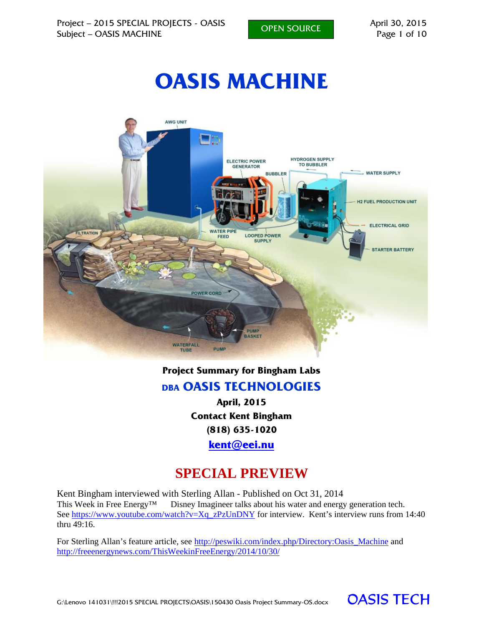# **OASIS MACHINE**



#### **Project Summary for Bingham Labs**

#### **DBA OASIS TECHNOLOGIES**

**April, 2015 Contact Kent Bingham (818) 635-1020 kent@eei.nu**

# **SPECIAL PREVIEW**

Kent Bingham interviewed with Sterling Allan - Published on Oct 31, 2014 This Week in Free Energy™ Disney Imagineer talks about his water and energy generation tech. See https://www.youtube.com/watch?v=Xq\_zPzUnDNY for interview. Kent's interview runs from 14:40 thru  $49.16$ .

For Sterling Allan's feature article, see http://peswiki.com/index.php/Directory:Oasis\_Machine and http://freeenergynews.com/ThisWeekinFreeEnergy/2014/10/30/

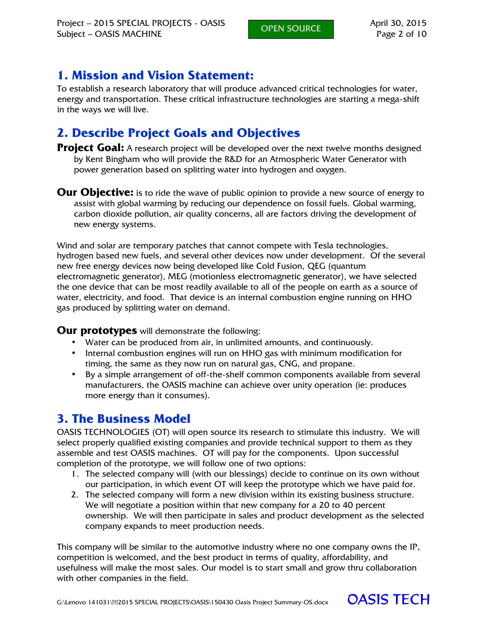## **1. Mission and Vision Statement:**

To establish a research laboratory that will produce advanced critical technologies for water, energy and transportation. These critical infrastructure technologies are starting a mega-shift in the ways we will live.

# **2. Describe Project Goals and Objectives**

**Project Goal:** A research project will be developed over the next twelve months designed by Kent Bingham who will provide the R&D for an Atmospheric Water Generator with power generation based on splitting water into hydrogen and oxygen.

**Our Objective:** is to ride the wave of public opinion to provide a new source of energy to assist with global warming by reducing our dependence on fossil fuels. Global warming, carbon dioxide pollution, air quality concerns, all are factors driving the development of new energy systems.

Wind and solar are temporary patches that cannot compete with Tesla technologies, hydrogen based new fuels, and several other devices now under development. Of the several new free energy devices now being developed like Cold Fusion, QEG (quantum electromagnetic generator), MEG (motionless electromagnetic generator), we have selected the one device that can be most readily available to all of the people on earth as a source of water, electricity, and food. That device is an internal combustion engine running on HHO gas produced by splitting water on demand.

**Our prototypes** will demonstrate the following:

- Water can be produced from air, in unlimited amounts, and continuously.
- Internal combustion engines will run on HHO gas with minimum modification for timing, the same as they now run on natural gas, CNG, and propane.
- By a simple arrangement of off-the-shelf common components available from several manufacturers, the OASIS machine can achieve over unity operation (ie: produces more energy than it consumes).

# **3. The Business Model**

OASIS TECHNOLOGIES (OT) will open source its research to stimulate this industry. We will select properly qualified existing companies and provide technical support to them as they assemble and test OASIS machines. OT will pay for the components. Upon successful completion of the prototype, we will follow one of two options:

- 1. The selected company will (with our blessings) decide to continue on its own without our participation, in which event OT will keep the prototype which we have paid for.
- 2. The selected company will form a new division within its existing business structure. We will negotiate a position within that new company for a 20 to 40 percent ownership. We will then participate in sales and product development as the selected company expands to meet production needs.

This company will be similar to the automotive industry where no one company owns the IP, competition is welcomed, and the best product in terms of quality, affordability, and usefulness will make the most sales. Our model is to start small and grow thru collaboration with other companies in the field.

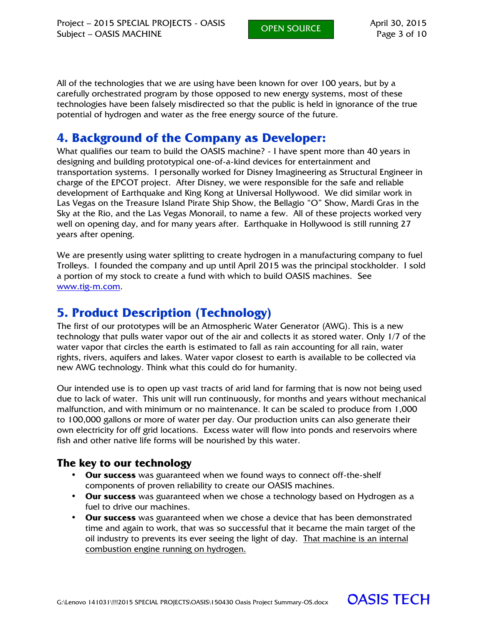All of the technologies that we are using have been known for over 100 years, but by a carefully orchestrated program by those opposed to new energy systems, most of these technologies have been falsely misdirected so that the public is held in ignorance of the true potential of hydrogen and water as the free energy source of the future.

## **4. Background of the Company as Developer:**

What qualifies our team to build the OASIS machine? - I have spent more than 40 years in designing and building prototypical one-of-a-kind devices for entertainment and transportation systems. I personally worked for Disney Imagineering as Structural Engineer in charge of the EPCOT project. After Disney, we were responsible for the safe and reliable development of Earthquake and King Kong at Universal Hollywood. We did similar work in Las Vegas on the Treasure Island Pirate Ship Show, the Bellagio "O" Show, Mardi Gras in the Sky at the Rio, and the Las Vegas Monorail, to name a few. All of these projects worked very well on opening day, and for many years after. Earthquake in Hollywood is still running 27 years after opening.

We are presently using water splitting to create hydrogen in a manufacturing company to fuel Trolleys. I founded the company and up until April 2015 was the principal stockholder. I sold a portion of my stock to create a fund with which to build OASIS machines. See www.tig-m.com.

# **5. Product Description (Technology)**

The first of our prototypes will be an Atmospheric Water Generator (AWG). This is a new technology that pulls water vapor out of the air and collects it as stored water. Only 1/7 of the water vapor that circles the earth is estimated to fall as rain accounting for all rain, water rights, rivers, aquifers and lakes. Water vapor closest to earth is available to be collected via new AWG technology. Think what this could do for humanity.

Our intended use is to open up vast tracts of arid land for farming that is now not being used due to lack of water. This unit will run continuously, for months and years without mechanical malfunction, and with minimum or no maintenance. It can be scaled to produce from 1,000 to 100,000 gallons or more of water per day. Our production units can also generate their own electricity for off grid locations. Excess water will flow into ponds and reservoirs where fish and other native life forms will be nourished by this water.

#### **The key to our technology**

- **Our success** was guaranteed when we found ways to connect off-the-shelf components of proven reliability to create our OASIS machines.
- **Our success** was guaranteed when we chose a technology based on Hydrogen as a fuel to drive our machines.
- **Our success** was guaranteed when we chose a device that has been demonstrated time and again to work, that was so successful that it became the main target of the oil industry to prevents its ever seeing the light of day. That machine is an internal combustion engine running on hydrogen.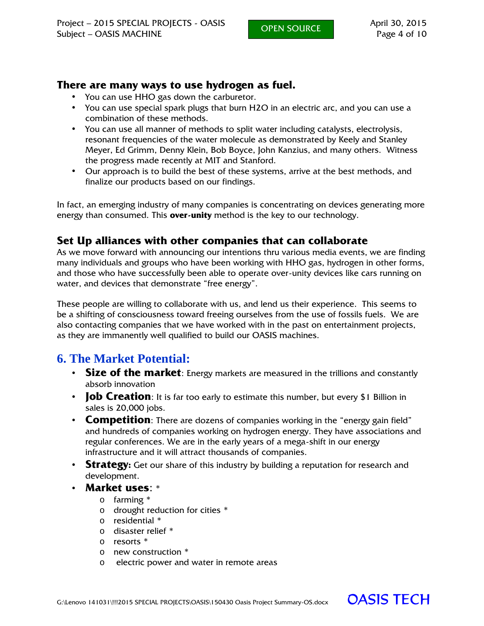#### **There are many ways to use hydrogen as fuel.**

- You can use HHO gas down the carburetor.
- You can use special spark plugs that burn H2O in an electric arc, and you can use a combination of these methods.
- You can use all manner of methods to split water including catalysts, electrolysis, resonant frequencies of the water molecule as demonstrated by Keely and Stanley Meyer, Ed Grimm, Denny Klein, Bob Boyce, John Kanzius, and many others. Witness the progress made recently at MIT and Stanford.
- Our approach is to build the best of these systems, arrive at the best methods, and finalize our products based on our findings.

In fact, an emerging industry of many companies is concentrating on devices generating more energy than consumed. This **over-unity** method is the key to our technology.

#### **Set Up alliances with other companies that can collaborate**

As we move forward with announcing our intentions thru various media events, we are finding many individuals and groups who have been working with HHO gas, hydrogen in other forms, and those who have successfully been able to operate over-unity devices like cars running on water, and devices that demonstrate "free energy".

These people are willing to collaborate with us, and lend us their experience. This seems to be a shifting of consciousness toward freeing ourselves from the use of fossils fuels. We are also contacting companies that we have worked with in the past on entertainment projects, as they are immanently well qualified to build our OASIS machines.

# **6. The Market Potential:**

- **Size of the market**: Energy markets are measured in the trillions and constantly absorb innovation
- **Job Creation**: It is far too early to estimate this number, but every \$1 Billion in sales is 20,000 jobs.
- **Competition**: There are dozens of companies working in the "energy gain field" and hundreds of companies working on hydrogen energy. They have associations and regular conferences. We are in the early years of a mega-shift in our energy infrastructure and it will attract thousands of companies.
- **Strategy:** Get our share of this industry by building a reputation for research and development.
- **Market uses**: \*
	- o farming \*
	- o drought reduction for cities \*
	- o residential \*
	- o disaster relief \*
	- o resorts \*
	- o new construction \*
	- o electric power and water in remote areas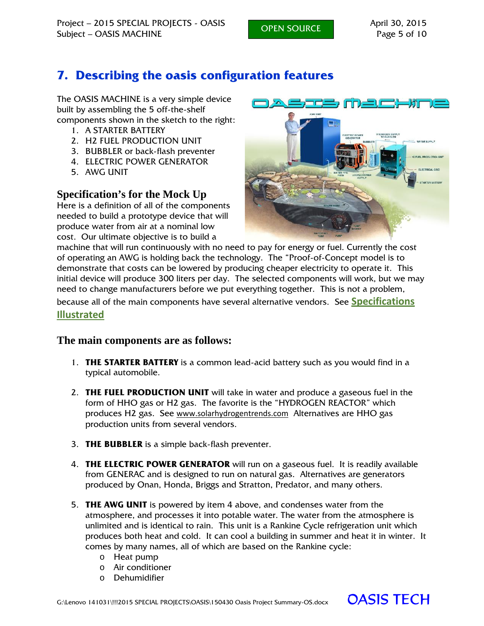# **7. Describing the oasis configuration features**

The OASIS MACHINE is a very simple device built by assembling the 5 off-the-shelf components shown in the sketch to the right:

- 1. A STARTER BATTERY
- 2. H2 FUEL PRODUCTION UNIT
- 3. BUBBLER or back-flash preventer
- 4. ELECTRIC POWER GENERATOR
- 5. AWG UNIT

### **Specification's for the Mock Up**

Here is a definition of all of the components needed to build a prototype device that will produce water from air at a nominal low cost. Our ultimate objective is to build a



machine that will run continuously with no need to pay for energy or fuel. Currently the cost of operating an AWG is holding back the technology. The "Proof-of-Concept model is to demonstrate that costs can be lowered by producing cheaper electricity to operate it. This initial device will produce 300 liters per day. The selected components will work, but we may need to change manufacturers before we put everything together. This is not a problem,

because all of the main components have several alternative vendors. See **Specifications**

**Illustrated**

#### **The main components are as follows:**

- 1. **THE STARTER BATTERY** is a common lead-acid battery such as you would find in a typical automobile.
- 2. **THE FUEL PRODUCTION UNIT** will take in water and produce a gaseous fuel in the form of HHO gas or H2 gas. The favorite is the "HYDROGEN REACTOR" which produces H2 gas. See www.solarhydrogentrends.com Alternatives are HHO gas production units from several vendors.
- 3. **THE BUBBLER** is a simple back-flash preventer.
- 4. **THE ELECTRIC POWER GENERATOR** will run on a gaseous fuel. It is readily available from GENERAC and is designed to run on natural gas. Alternatives are generators produced by Onan, Honda, Briggs and Stratton, Predator, and many others.
- 5. **THE AWG UNIT** is powered by item 4 above, and condenses water from the atmosphere, and processes it into potable water. The water from the atmosphere is unlimited and is identical to rain. This unit is a Rankine Cycle refrigeration unit which produces both heat and cold. It can cool a building in summer and heat it in winter. It comes by many names, all of which are based on the Rankine cycle:
	- o Heat pump
	- o Air conditioner
	- o Dehumidifier

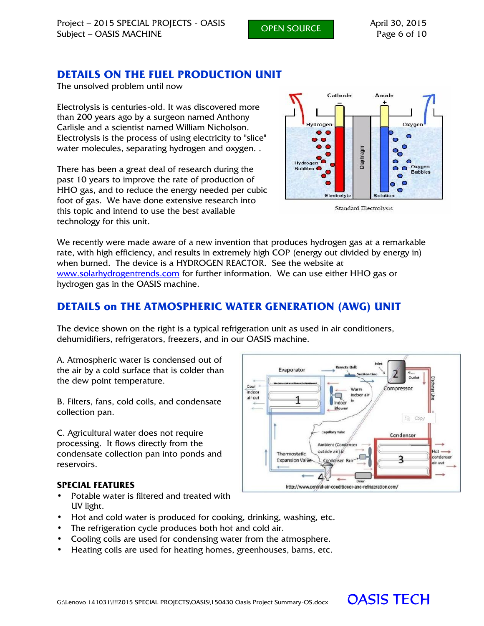OPEN SOURCE

### **DETAILS ON THE FUEL PRODUCTION UNIT**

The unsolved problem until now

Electrolysis is centuries-old. It was discovered more than 200 years ago by a surgeon named Anthony Carlisle and a scientist named William Nicholson. Electrolysis is the process of using electricity to "slice" water molecules, separating hydrogen and oxygen. .

There has been a great deal of research during the past 10 years to improve the rate of production of HHO gas, and to reduce the energy needed per cubic foot of gas. We have done extensive research into this topic and intend to use the best available technology for this unit.



**Standard Electrolysis** 

We recently were made aware of a new invention that produces hydrogen gas at a remarkable rate, with high efficiency, and results in extremely high COP (energy out divided by energy in) when burned. The device is a HYDROGEN REACTOR. See the website at www.solarhydrogentrends.com for further information. We can use either HHO gas or hydrogen gas in the OASIS machine.

#### **DETAILS on THE ATMOSPHERIC WATER GENERATION (AWG) UNIT**

The device shown on the right is a typical refrigeration unit as used in air conditioners, dehumidifiers, refrigerators, freezers, and in our OASIS machine.

A. Atmospheric water is condensed out of the air by a cold surface that is colder than the dew point temperature.

B. Filters, fans, cold coils, and condensate collection pan.

C. Agricultural water does not require processing. It flows directly from the condensate collection pan into ponds and reservoirs.

#### Evaporator  $Cool \leq$ Compresso Warm indoor indoor ai 1 Indocr **Blower Ele** Copy Condenser Ambient (Condense) outside air) in  $\alpha$ Thermostatic ordense ξ **Expansion Valv** Condenser ir out 4 http://www.central-air-conditioner-and-refrigeration.com/

#### **SPECIAL FEATURES**

- Potable water is filtered and treated with UV light.
- Hot and cold water is produced for cooking, drinking, washing, etc.
- The refrigeration cycle produces both hot and cold air.
- Cooling coils are used for condensing water from the atmosphere.
- Heating coils are used for heating homes, greenhouses, barns, etc.

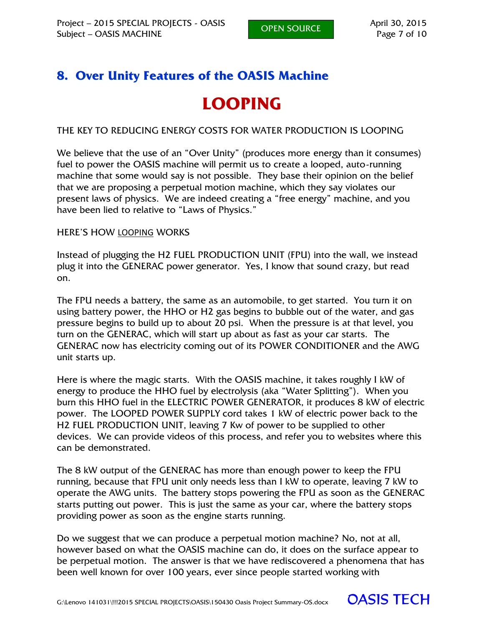# **8. Over Unity Features of the OASIS Machine**

# **LOOPING**

THE KEY TO REDUCING ENERGY COSTS FOR WATER PRODUCTION IS LOOPING

We believe that the use of an "Over Unity" (produces more energy than it consumes) fuel to power the OASIS machine will permit us to create a looped, auto-running machine that some would say is not possible. They base their opinion on the belief that we are proposing a perpetual motion machine, which they say violates our present laws of physics. We are indeed creating a "free energy" machine, and you have been lied to relative to "Laws of Physics."

#### HERE'S HOW LOOPING WORKS

Instead of plugging the H2 FUEL PRODUCTION UNIT (FPU) into the wall, we instead plug it into the GENERAC power generator. Yes, I know that sound crazy, but read on.

The FPU needs a battery, the same as an automobile, to get started. You turn it on using battery power, the HHO or H2 gas begins to bubble out of the water, and gas pressure begins to build up to about 20 psi. When the pressure is at that level, you turn on the GENERAC, which will start up about as fast as your car starts. The GENERAC now has electricity coming out of its POWER CONDITIONER and the AWG unit starts up.

Here is where the magic starts. With the OASIS machine, it takes roughly I kW of energy to produce the HHO fuel by electrolysis (aka "Water Splitting"). When you burn this HHO fuel in the ELECTRIC POWER GENERATOR, it produces 8 kW of electric power. The LOOPED POWER SUPPLY cord takes 1 kW of electric power back to the H2 FUEL PRODUCTION UNIT, leaving 7 Kw of power to be supplied to other devices. We can provide videos of this process, and refer you to websites where this can be demonstrated.

The 8 kW output of the GENERAC has more than enough power to keep the FPU running, because that FPU unit only needs less than I kW to operate, leaving 7 kW to operate the AWG units. The battery stops powering the FPU as soon as the GENERAC starts putting out power. This is just the same as your car, where the battery stops providing power as soon as the engine starts running.

Do we suggest that we can produce a perpetual motion machine? No, not at all, however based on what the OASIS machine can do, it does on the surface appear to be perpetual motion. The answer is that we have rediscovered a phenomena that has been well known for over 100 years, ever since people started working with

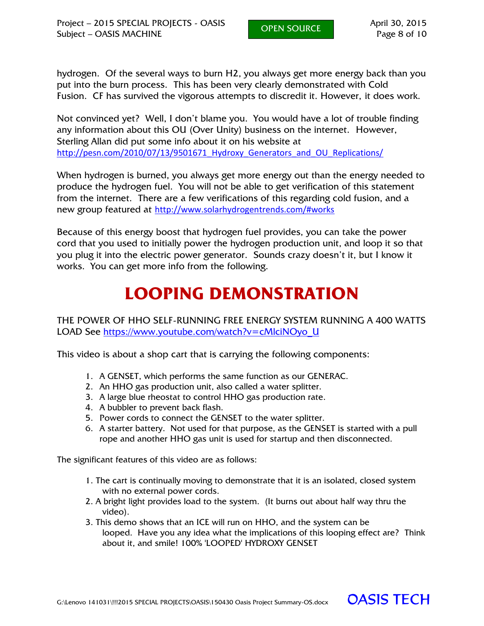hydrogen. Of the several ways to burn H2, you always get more energy back than you put into the burn process. This has been very clearly demonstrated with Cold Fusion. CF has survived the vigorous attempts to discredit it. However, it does work.

Not convinced yet? Well, I don't blame you. You would have a lot of trouble finding any information about this OU (Over Unity) business on the internet. However, Sterling Allan did put some info about it on his website at http://pesn.com/2010/07/13/9501671\_Hydroxy\_Generators\_and\_OU\_Replications/

When hydrogen is burned, you always get more energy out than the energy needed to produce the hydrogen fuel. You will not be able to get verification of this statement from the internet. There are a few verifications of this regarding cold fusion, and a new group featured at http://www.solarhydrogentrends.com/#works

Because of this energy boost that hydrogen fuel provides, you can take the power cord that you used to initially power the hydrogen production unit, and loop it so that you plug it into the electric power generator. Sounds crazy doesn't it, but I know it works. You can get more info from the following.

# **LOOPING DEMONSTRATION**

THE POWER OF HHO SELF-RUNNING FREE ENERGY SYSTEM RUNNING A 400 WATTS LOAD See https://www.youtube.com/watch?v=cMlciNOyo\_U

This video is about a shop cart that is carrying the following components:

- 1. A GENSET, which performs the same function as our GENERAC.
- 2. An HHO gas production unit, also called a water splitter.
- 3. A large blue rheostat to control HHO gas production rate.
- 4. A bubbler to prevent back flash.
- 5. Power cords to connect the GENSET to the water splitter.
- 6. A starter battery. Not used for that purpose, as the GENSET is started with a pull rope and another HHO gas unit is used for startup and then disconnected.

The significant features of this video are as follows:

- 1. The cart is continually moving to demonstrate that it is an isolated, closed system with no external power cords.
- 2. A bright light provides load to the system. (It burns out about half way thru the video).
- 3. This demo shows that an ICE will run on HHO, and the system can be looped. Have you any idea what the implications of this looping effect are? Think about it, and smile! 100% 'LOOPED' HYDROXY GENSET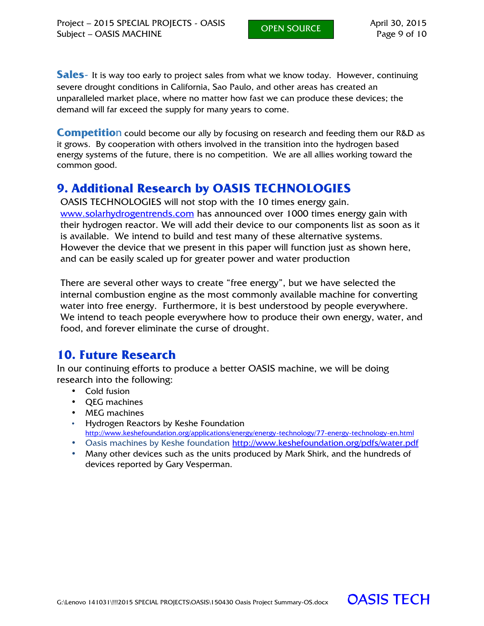**Sales**- It is way too early to project sales from what we know today. However, continuing severe drought conditions in California, Sao Paulo, and other areas has created an unparalleled market place, where no matter how fast we can produce these devices; the demand will far exceed the supply for many years to come.

**Competitio**n could become our ally by focusing on research and feeding them our R&D as it grows. By cooperation with others involved in the transition into the hydrogen based energy systems of the future, there is no competition. We are all allies working toward the common good.

# **9. Additional Research by OASIS TECHNOLOGIES**

OASIS TECHNOLOGIES will not stop with the 10 times energy gain. www.solarhydrogentrends.com has announced over 1000 times energy gain with their hydrogen reactor. We will add their device to our components list as soon as it is available. We intend to build and test many of these alternative systems. However the device that we present in this paper will function just as shown here, and can be easily scaled up for greater power and water production

There are several other ways to create "free energy", but we have selected the internal combustion engine as the most commonly available machine for converting water into free energy. Furthermore, it is best understood by people everywhere. We intend to teach people everywhere how to produce their own energy, water, and food, and forever eliminate the curse of drought.

### **10. Future Research**

In our continuing efforts to produce a better OASIS machine, we will be doing research into the following:

- Cold fusion
- **QEG** machines
- MEG machines
- Hydrogen Reactors by Keshe Foundation http://www.keshefoundation.org/applications/energy/energy-technology/77-energy-technology-en.html
- Oasis machines by Keshe foundation http://www.keshefoundation.org/pdfs/water.pdf
- Many other devices such as the units produced by Mark Shirk, and the hundreds of devices reported by Gary Vesperman.